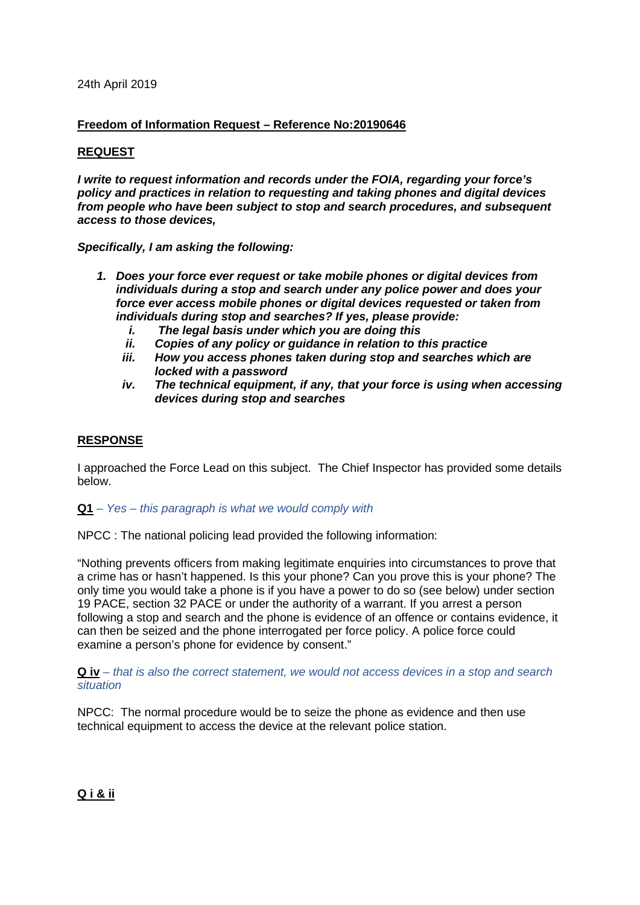### 24th April 2019

## **Freedom of Information Request – Reference No:20190646**

# **REQUEST**

*I write to request information and records under the FOIA, regarding your force's policy and practices in relation to requesting and taking phones and digital devices from people who have been subject to stop and search procedures, and subsequent access to those devices,*

*Specifically, I am asking the following:*

- *1. Does your force ever request or take mobile phones or digital devices from individuals during a stop and search under any police power and does your force ever access mobile phones or digital devices requested or taken from individuals during stop and searches? If yes, please provide:*
	- *i. The legal basis under which you are doing this*
	- *ii. Copies of any policy or guidance in relation to this practice*
	- *iii. How you access phones taken during stop and searches which are locked with a password*
	- *iv. The technical equipment, if any, that your force is using when accessing devices during stop and searches*

### **RESPONSE**

I approached the Force Lead on this subject. The Chief Inspector has provided some details below.

#### **Q1** *– Yes – this paragraph is what we would comply with*

NPCC : The national policing lead provided the following information:

"Nothing prevents officers from making legitimate enquiries into circumstances to prove that a crime has or hasn't happened. Is this your phone? Can you prove this is your phone? The only time you would take a phone is if you have a power to do so (see below) under section 19 PACE, section 32 PACE or under the authority of a warrant. If you arrest a person following a stop and search and the phone is evidence of an offence or contains evidence, it can then be seized and the phone interrogated per force policy. A police force could examine a person's phone for evidence by consent."

**Q iv** *– that is also the correct statement, we would not access devices in a stop and search situation*

NPCC: The normal procedure would be to seize the phone as evidence and then use technical equipment to access the device at the relevant police station.

# **Q i & ii**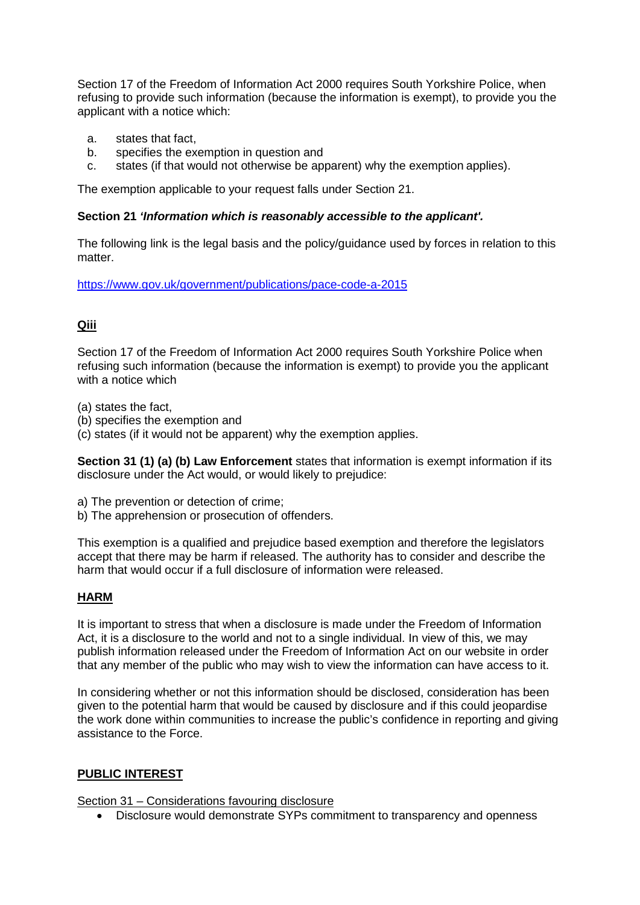Section 17 of the Freedom of Information Act 2000 requires South Yorkshire Police, when refusing to provide such information (because the information is exempt), to provide you the applicant with a notice which:

- a. states that fact,
- b. specifies the exemption in question and
- c. states (if that would not otherwise be apparent) why the exemption applies).

The exemption applicable to your request falls under Section 21.

## **Section 21** *'Information which is reasonably accessible to the applicant'.*

The following link is the legal basis and the policy/guidance used by forces in relation to this matter

<https://www.gov.uk/government/publications/pace-code-a-2015>

# **Qiii**

Section 17 of the Freedom of Information Act 2000 requires South Yorkshire Police when refusing such information (because the information is exempt) to provide you the applicant with a notice which

(a) states the fact,

(b) specifies the exemption and

(c) states (if it would not be apparent) why the exemption applies.

**Section 31 (1) (a) (b) Law Enforcement** states that information is exempt information if its disclosure under the Act would, or would likely to prejudice:

- a) The prevention or detection of crime;
- b) The apprehension or prosecution of offenders.

This exemption is a qualified and prejudice based exemption and therefore the legislators accept that there may be harm if released. The authority has to consider and describe the harm that would occur if a full disclosure of information were released.

# **HARM**

It is important to stress that when a disclosure is made under the Freedom of Information Act, it is a disclosure to the world and not to a single individual. In view of this, we may publish information released under the Freedom of Information Act on our website in order that any member of the public who may wish to view the information can have access to it.

In considering whether or not this information should be disclosed, consideration has been given to the potential harm that would be caused by disclosure and if this could jeopardise the work done within communities to increase the public's confidence in reporting and giving assistance to the Force.

# **PUBLIC INTEREST**

Section 31 – Considerations favouring disclosure

• Disclosure would demonstrate SYPs commitment to transparency and openness